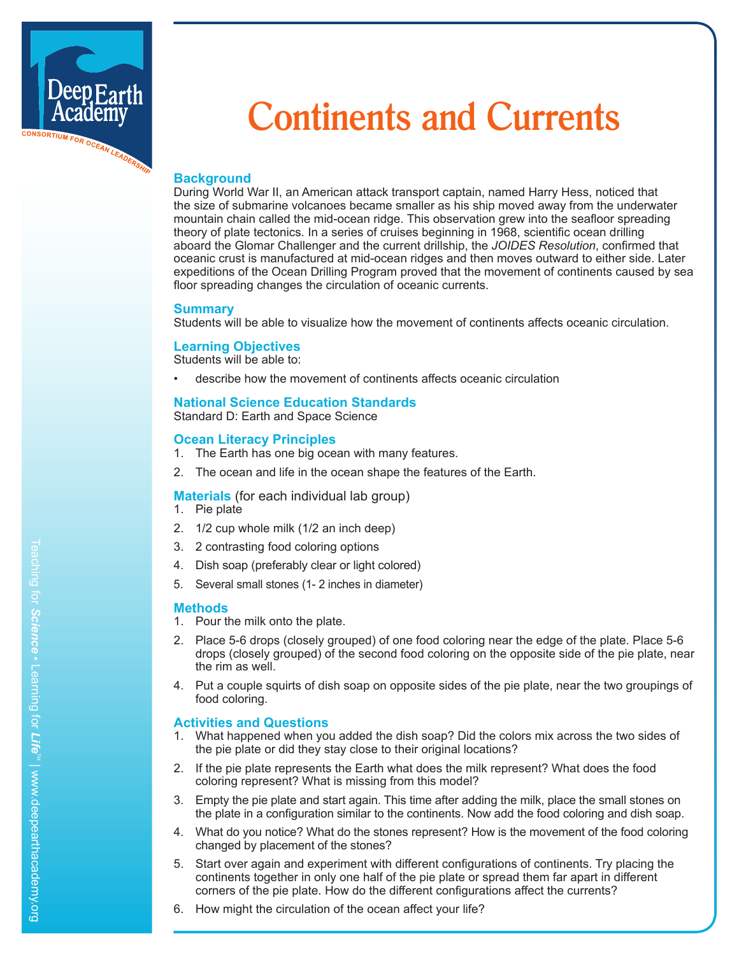

# **Continents and Currents**

# **Background**

During World War II, an American attack transport captain, named Harry Hess, noticed that the size of submarine volcanoes became smaller as his ship moved away from the underwater mountain chain called the mid-ocean ridge. This observation grew into the seafloor spreading theory of plate tectonics. In a series of cruises beginning in 1968, scientific ocean drilling aboard the Glomar Challenger and the current drillship, the *JOIDES Resolution*, confirmed that oceanic crust is manufactured at mid-ocean ridges and then moves outward to either side. Later expeditions of the Ocean Drilling Program proved that the movement of continents caused by sea floor spreading changes the circulation of oceanic currents.

## **Summary**

Students will be able to visualize how the movement of continents affects oceanic circulation.

## **Learning Objectives**

Students will be able to:

• describe how the movement of continents affects oceanic circulation

## **National Science Education Standards**

Standard D: Earth and Space Science

#### **Ocean Literacy Principles**

- 1. The Earth has one big ocean with many features.
- 2. The ocean and life in the ocean shape the features of the Earth.

#### **Materials** (for each individual lab group)

- 1. Pie plate
- 2. 1/2 cup whole milk (1/2 an inch deep)
- 3. 2 contrasting food coloring options
- 4. Dish soap (preferably clear or light colored)
- 5. Several small stones (1- 2 inches in diameter)

#### **Methods**

- 1. Pour the milk onto the plate.
- 2. Place 5-6 drops (closely grouped) of one food coloring near the edge of the plate. Place 5-6 drops (closely grouped) of the second food coloring on the opposite side of the pie plate, near the rim as well.
- 4. Put a couple squirts of dish soap on opposite sides of the pie plate, near the two groupings of food coloring.

## **Activities and Questions**

- 1. What happened when you added the dish soap? Did the colors mix across the two sides of the pie plate or did they stay close to their original locations?
- 2. If the pie plate represents the Earth what does the milk represent? What does the food coloring represent? What is missing from this model?
- 3. Empty the pie plate and start again. This time after adding the milk, place the small stones on the plate in a configuration similar to the continents. Now add the food coloring and dish soap.
- 4. What do you notice? What do the stones represent? How is the movement of the food coloring changed by placement of the stones?
- 5. Start over again and experiment with different configurations of continents. Try placing the continents together in only one half of the pie plate or spread them far apart in different corners of the pie plate. How do the different configurations affect the currents?
- 6. How might the circulation of the ocean affect your life?